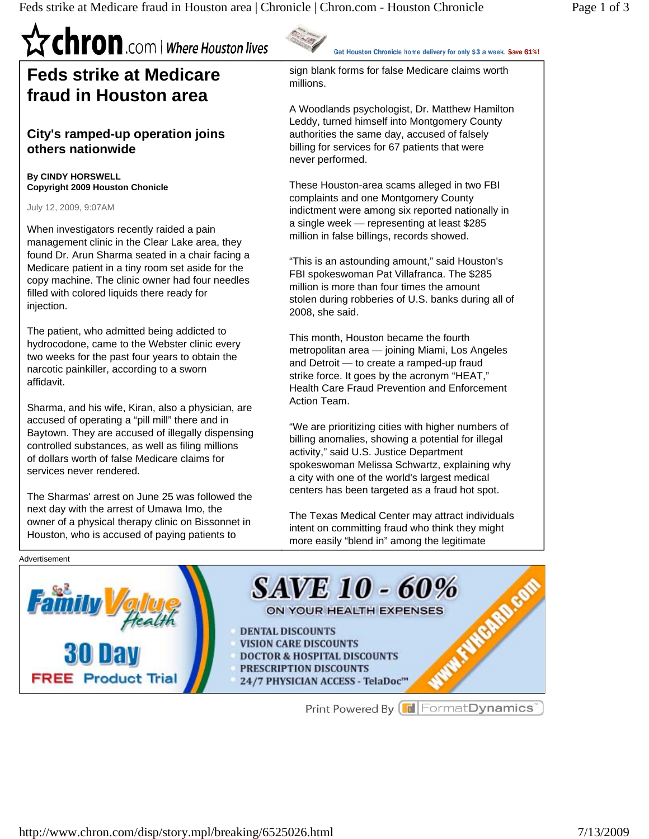### **Trian Chron** .com | Where Houston lives **Feds strike at Medicare fraud in Houston area**

#### **City's ramped-up operation joins others nationwide**

**By CINDY HORSWELL Copyright 2009 Houston Chonicle** 

July 12, 2009, 9:07AM

Advertisement

When investigators recently raided a pain management clinic in the Clear Lake area, they found Dr. Arun Sharma seated in a chair facing a Medicare patient in a tiny room set aside for the copy machine. The clinic owner had four needles filled with colored liquids there ready for injection.

The patient, who admitted being addicted to hydrocodone, came to the Webster clinic every two weeks for the past four years to obtain the narcotic painkiller, according to a sworn affidavit.

Sharma, and his wife, Kiran, also a physician, are accused of operating a "pill mill" there and in Baytown. They are accused of illegally dispensing controlled substances, as well as filing millions of dollars worth of false Medicare claims for services never rendered.

The Sharmas' arrest on June 25 was followed the next day with the arrest of Umawa Imo, the owner of a physical therapy clinic on Bissonnet in Houston, who is accused of paying patients to

Get Houston Chronicle home delivery for only \$3 a week. Save 61%!

sign blank forms for false Medicare claims worth millions.

A Woodlands psychologist, Dr. Matthew Hamilton Leddy, turned himself into Montgomery County authorities the same day, accused of falsely billing for services for 67 patients that were never performed.

These Houston-area scams alleged in two FBI complaints and one Montgomery County indictment were among six reported nationally in a single week — representing at least \$285 million in false billings, records showed.

"This is an astounding amount," said Houston's FBI spokeswoman Pat Villafranca. The \$285 million is more than four times the amount stolen during robberies of U.S. banks during all of 2008, she said.

This month, Houston became the fourth metropolitan area — joining Miami, Los Angeles and Detroit — to create a ramped-up fraud strike force. It goes by the acronym "HEAT," Health Care Fraud Prevention and Enforcement Action Team.

"We are prioritizing cities with higher numbers of billing anomalies, showing a potential for illegal activity," said U.S. Justice Department spokeswoman Melissa Schwartz, explaining why a city with one of the world's largest medical centers has been targeted as a fraud hot spot.

The Texas Medical Center may attract individuals intent on committing fraud who think they might more easily "blend in" among the legitimate



Print Powered By FormatDynamics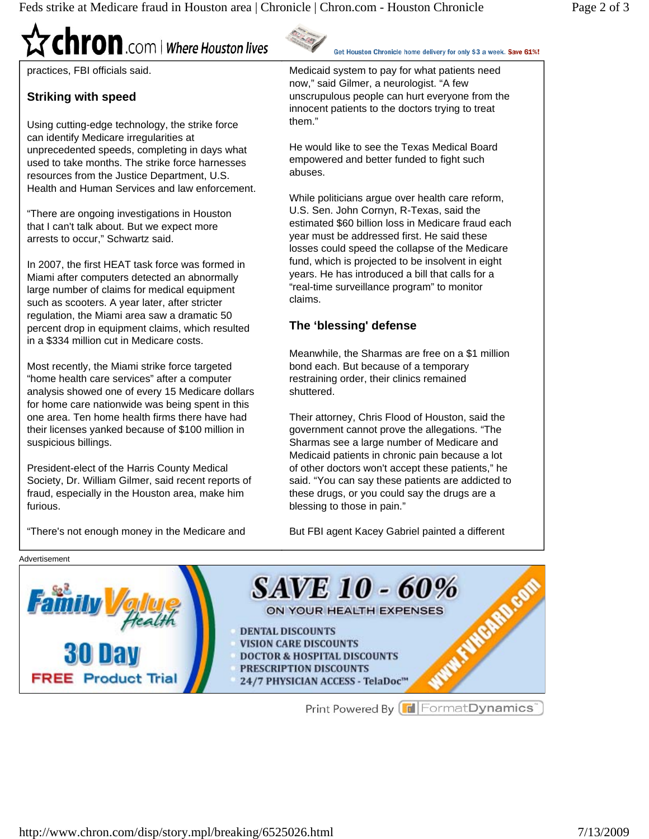# **Chron**.com | Where Houston lives

practices, FBI officials said.

#### **Striking with speed**

Using cutting-edge technology, the strike force can identify Medicare irregularities at unprecedented speeds, completing in days what used to take months. The strike force harnesses resources from the Justice Department, U.S. Health and Human Services and law enforcement.

"There are ongoing investigations in Houston that I can't talk about. But we expect more arrests to occur," Schwartz said.

In 2007, the first HEAT task force was formed in Miami after computers detected an abnormally large number of claims for medical equipment such as scooters. A year later, after stricter regulation, the Miami area saw a dramatic 50 percent drop in equipment claims, which resulted in a \$334 million cut in Medicare costs.

Most recently, the Miami strike force targeted "home health care services" after a computer analysis showed one of every 15 Medicare dollars for home care nationwide was being spent in this one area. Ten home health firms there have had their licenses yanked because of \$100 million in suspicious billings.

President-elect of the Harris County Medical Society, Dr. William Gilmer, said recent reports of fraud, especially in the Houston area, make him furious.

"There's not enough money in the Medicare and

Get Houston Chronicle home delivery for only \$3 a week. Save 61%!

Medicaid system to pay for what patients need now," said Gilmer, a neurologist. "A few unscrupulous people can hurt everyone from the innocent patients to the doctors trying to treat them."

He would like to see the Texas Medical Board empowered and better funded to fight such abuses.

While politicians argue over health care reform, U.S. Sen. John Cornyn, R-Texas, said the estimated \$60 billion loss in Medicare fraud each year must be addressed first. He said these losses could speed the collapse of the Medicare fund, which is projected to be insolvent in eight years. He has introduced a bill that calls for a "real-time surveillance program" to monitor claims.

#### **The 'blessing' defense**

Meanwhile, the Sharmas are free on a \$1 million bond each. But because of a temporary restraining order, their clinics remained shuttered.

Their attorney, Chris Flood of Houston, said the government cannot prove the allegations. "The Sharmas see a large number of Medicare and Medicaid patients in chronic pain because a lot of other doctors won't accept these patients," he said. "You can say these patients are addicted to these drugs, or you could say the drugs are a blessing to those in pain."

But FBI agent Kacey Gabriel painted a different



Print Powered By FormatDynamics